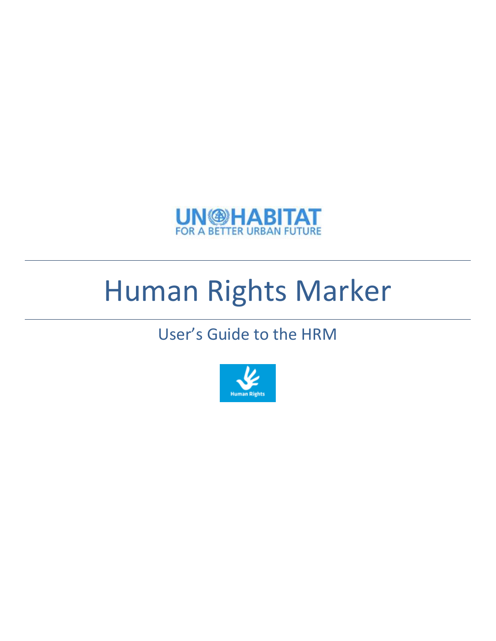

# Human Rights Marker

# User's Guide to the HRM

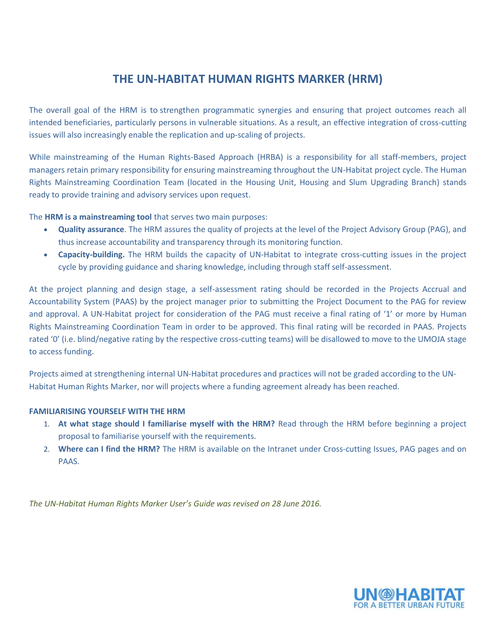# **THE UN-HABITAT HUMAN RIGHTS MARKER (HRM)**

The overall goal of the HRM is to strengthen programmatic synergies and ensuring that project outcomes reach all intended beneficiaries, particularly persons in vulnerable situations. As a result, an effective integration of cross-cutting issues will also increasingly enable the replication and up-scaling of projects.

While mainstreaming of the Human Rights-Based Approach (HRBA) is a responsibility for all staff-members, project managers retain primary responsibility for ensuring mainstreaming throughout the UN-Habitat project cycle. The Human Rights Mainstreaming Coordination Team (located in the Housing Unit, Housing and Slum Upgrading Branch) stands ready to provide training and advisory services upon request.

The **HRM is a mainstreaming tool** that serves two main purposes:

- **Quality assurance**. The HRM assures the quality of projects at the level of the Project Advisory Group (PAG), and thus increase accountability and transparency through its monitoring function.
- **Capacity-building.** The HRM builds the capacity of UN-Habitat to integrate cross-cutting issues in the project cycle by providing guidance and sharing knowledge, including through staff self-assessment.

At the project planning and design stage, a self-assessment rating should be recorded in the Projects Accrual and Accountability System (PAAS) by the project manager prior to submitting the Project Document to the PAG for review and approval. A UN-Habitat project for consideration of the PAG must receive a final rating of '1' or more by Human Rights Mainstreaming Coordination Team in order to be approved. This final rating will be recorded in PAAS. Projects rated '0' (i.e. blind/negative rating by the respective cross-cutting teams) will be disallowed to move to the UMOJA stage to access funding.

Projects aimed at strengthening internal UN-Habitat procedures and practices will not be graded according to the UN-Habitat Human Rights Marker, nor will projects where a funding agreement already has been reached.

# **FAMILIARISING YOURSELF WITH THE HRM**

- 1. **At what stage should I familiarise myself with the HRM?** Read through the HRM before beginning a project proposal to familiarise yourself with the requirements.
- 2. **Where can I find the HRM?** The HRM is available on the Intranet under Cross-cutting Issues, PAG pages and on PAAS.

*The UN-Habitat Human Rights Marker User's Guide was revised on 28 June 2016.*

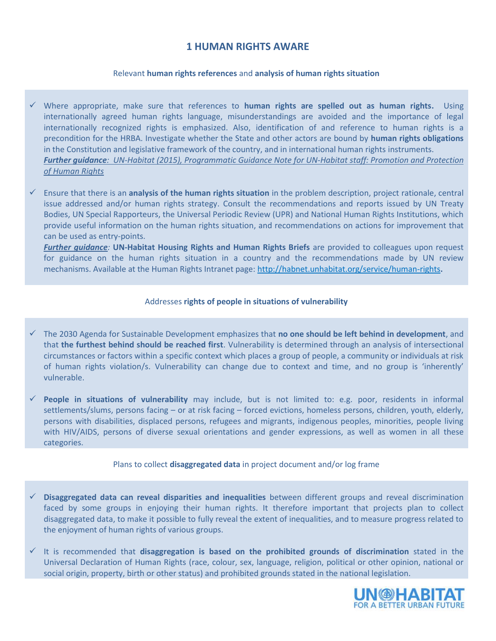# **1 HUMAN RIGHTS AWARE**

### Relevant **human rights references** and **analysis of human rights situation**

- Where appropriate, make sure that references to **human rights are spelled out as human rights.** Using internationally agreed human rights language, misunderstandings are avoided and the importance of legal internationally recognized rights is emphasized. Also, identification of and reference to human rights is a precondition for the HRBA. Investigate whether the State and other actors are bound by **human rights obligations**  in the Constitution and legislative framework of the country, and in international human rights instruments. *Further guidance: [UN-Habitat \(2015\), Programmatic Guidance Note for UN-Habitat staff: Promotion and Protection](http://unhabitat.org/books/programmatic-guidance-note-for-un-habitat-staff-promotion-and-protection-of-human-rights/)  [of Human Rights](http://unhabitat.org/books/programmatic-guidance-note-for-un-habitat-staff-promotion-and-protection-of-human-rights/)*
- Ensure that there is an **analysis of the human rights situation** in the problem description, project rationale, central issue addressed and/or human rights strategy. Consult the recommendations and reports issued by UN Treaty Bodies, UN Special Rapporteurs, the Universal Periodic Review (UPR) and National Human Rights Institutions, which provide useful information on the human rights situation, and recommendations on actions for improvement that can be used as entry-points.

*Further guidance:* **UN-Habitat Housing Rights and Human Rights Briefs** are provided to colleagues upon request for guidance on the human rights situation in a country and the recommendations made by UN review mechanisms. Available at the Human Rights Intranet page: <http://habnet.unhabitat.org/service/human-rights>**.**

# Addresses **rights of people in situations of vulnerability**

- The 2030 Agenda for Sustainable Development emphasizes that **no one should be left behind in development**, and that **the furthest behind should be reached first**. Vulnerability is determined through an analysis of intersectional circumstances or factors within a specific context which places a group of people, a community or individuals at risk of human rights violation/s. Vulnerability can change due to context and time, and no group is 'inherently' vulnerable.
- **People in situations of vulnerability** may include, but is not limited to: e.g. poor, residents in informal settlements/slums, persons facing – or at risk facing – forced evictions, homeless persons, children, youth, elderly, persons with disabilities, displaced persons, refugees and migrants, indigenous peoples, minorities, people living with HIV/AIDS, persons of diverse sexual orientations and gender expressions, as well as women in all these categories.

#### Plans to collect **disaggregated data** in project document and/or log frame

- **Disaggregated data can reveal disparities and inequalities** between different groups and reveal discrimination faced by some groups in enjoying their human rights. It therefore important that projects plan to collect disaggregated data, to make it possible to fully reveal the extent of inequalities, and to measure progress related to the enjoyment of human rights of various groups.
- It is recommended that **disaggregation is based on the prohibited grounds of discrimination** stated in the Universal Declaration of Human Rights (race, colour, sex, language, religion, political or other opinion, national or social origin, property, birth or other status) and prohibited grounds stated in the national legislation.

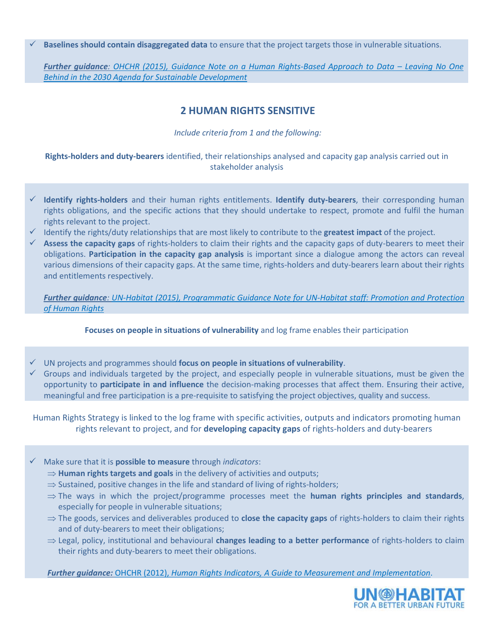**Baselines should contain disaggregated data** to ensure that the project targets those in vulnerable situations.

*Further guidance: [OHCHR \(2015\), Guidance Note on a Human Rights-Based Approach to Data](http://www.ohchr.org/Documents/Issues/HRIndicators/GuidanceNoteonApproachtoData.pdf) – Leaving No One [Behind in the 2030 Agenda for Sustainable Development](http://www.ohchr.org/Documents/Issues/HRIndicators/GuidanceNoteonApproachtoData.pdf)*

# **2 HUMAN RIGHTS SENSITIVE**

*Include criteria from 1 and the following:*

**Rights-holders and duty-bearers** identified, their relationships analysed and capacity gap analysis carried out in stakeholder analysis

- **Identify rights-holders** and their human rights entitlements. **Identify duty-bearers**, their corresponding human rights obligations, and the specific actions that they should undertake to respect, promote and fulfil the human rights relevant to the project.
- I dentify the rights/duty relationships that are most likely to contribute to the **greatest impact** of the project.
- **Assess the capacity gaps** of rights-holders to claim their rights and the capacity gaps of duty-bearers to meet their obligations. **Participation in the capacity gap analysis** is important since a dialogue among the actors can reveal various dimensions of their capacity gaps. At the same time, rights-holders and duty-bearers learn about their rights and entitlements respectively.

*Further guidance: [UN-Habitat \(2015\), Programmatic Guidance Note for UN-Habitat staff: Promotion and Protection](http://unhabitat.org/books/programmatic-guidance-note-for-un-habitat-staff-promotion-and-protection-of-human-rights/)  [of Human Rights](http://unhabitat.org/books/programmatic-guidance-note-for-un-habitat-staff-promotion-and-protection-of-human-rights/)*

# **Focuses on people in situations of vulnerability** and log frame enables their participation

- UN projects and programmes should **focus on people in situations of vulnerability**.
- $\checkmark$  Groups and individuals targeted by the project, and especially people in vulnerable situations, must be given the opportunity to **participate in and influence** the decision-making processes that affect them. Ensuring their active, meaningful and free participation is a pre-requisite to satisfying the project objectives, quality and success.

Human Rights Strategy is linked to the log frame with specific activities, outputs and indicators promoting human rights relevant to project, and for **developing capacity gaps** of rights-holders and duty-bearers

- Make sure that it is **possible to measure** through *indicators*:
	- $\Rightarrow$  **Human rights targets and goals** in the delivery of activities and outputs;
	- $\Rightarrow$  Sustained, positive changes in the life and standard of living of rights-holders;
	- $\Rightarrow$  The ways in which the project/programme processes meet the **human rights principles and standards**, especially for people in vulnerable situations;
	- $\Rightarrow$  The goods, services and deliverables produced to **close the capacity gaps** of rights-holders to claim their rights and of duty-bearers to meet their obligations;
	- Legal, policy, institutional and behavioural **changes leading to a better performance** of rights-holders to claim their rights and duty-bearers to meet their obligations.

*Further guidance:* OHCHR (2012), *[Human Rights Indicators, A Guide to Measurement and Implementation](http://www.ohchr.org/Documents/Publications/Human_rights_indicators_en.pdf)*.

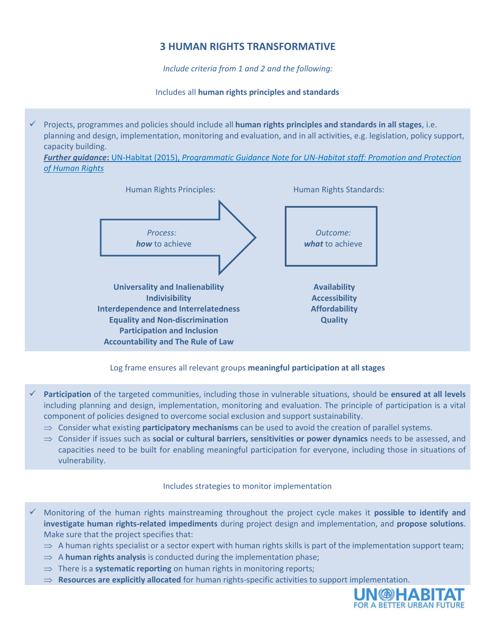# **3 HUMAN RIGHTS TRANSFORMATIVE**

*Include criteria from 1 and 2 and the following:*

Includes all **human rights principles and standards**

 Projects, programmes and policies should include all **human rights principles and standards in all stages**, i.e. planning and design, implementation, monitoring and evaluation, and in all activities, e.g. legislation, policy support, capacity building.

*Further guidance***:** UN-Habitat (2015), *[Programmatic Guidance Note for UN-Habitat staff: Promotion and Protection](http://unhabitat.org/books/programmatic-guidance-note-for-un-habitat-staff-promotion-and-protection-of-human-rights/)  [of Human Rights](http://unhabitat.org/books/programmatic-guidance-note-for-un-habitat-staff-promotion-and-protection-of-human-rights/)*



# Log frame ensures all relevant groups **meaningful participation at all stages**

- **Participation** of the targeted communities, including those in vulnerable situations, should be **ensured at all levels** including planning and design, implementation, monitoring and evaluation. The principle of participation is a vital component of policies designed to overcome social exclusion and support sustainability.
	- $\Rightarrow$  Consider what existing **participatory mechanisms** can be used to avoid the creation of parallel systems.
	- $\Rightarrow$  Consider if issues such as **social or cultural barriers, sensitivities or power dynamics** needs to be assessed, and capacities need to be built for enabling meaningful participation for everyone, including those in situations of vulnerability.

# Includes strategies to monitor implementation

- Monitoring of the human rights mainstreaming throughout the project cycle makes it **possible to identify and investigate human rights-related impediments** during project design and implementation, and **propose solutions**. Make sure that the project specifies that:
	- $\Rightarrow$  A human rights specialist or a sector expert with human rights skills is part of the implementation support team;
	- $\Rightarrow$  A **human rights analysis** is conducted during the implementation phase;
	- $\Rightarrow$  There is a **systematic reporting** on human rights in monitoring reports;
	- $\Rightarrow$  **Resources are explicitly allocated** for human rights-specific activities to support implementation.